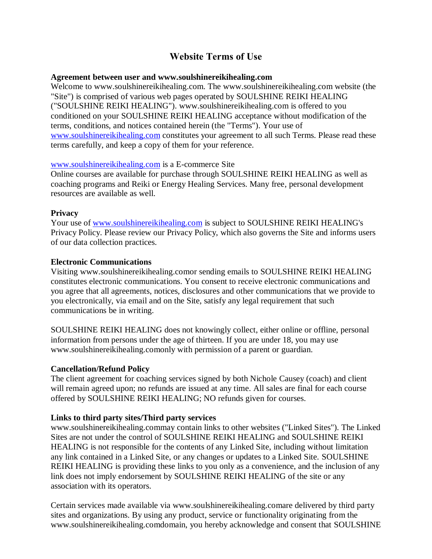# **Website Terms of Use**

#### **Agreement between user and www.soulshinereikihealing.com**

Welcome to www.soulshinereikihealing.com. The www.soulshinereikihealing.com website (the "Site") is comprised of various web pages operated by SOULSHINE REIKI HEALING ("SOULSHINE REIKI HEALING"). www.soulshinereikihealing.com is offered to you conditioned on your SOULSHINE REIKI HEALING acceptance without modification of the terms, conditions, and notices contained herein (the "Terms"). Your use of [www.soulshinereikihealing.com](http://www.soulshinereikihealing.com/) constitutes your agreement to all such Terms. Please read these terms carefully, and keep a copy of them for your reference.

## [www.soulshinereikihealing.com](http://www.soulshinereikihealing.com/) is a E-commerce Site

Online courses are available for purchase through SOULSHINE REIKI HEALING as well as coaching programs and Reiki or Energy Healing Services. Many free, personal development resources are available as well.

## **Privacy**

Your use of [www.soulshinereikihealing.com](http://www.soulshinereikihealing.com/) is subject to SOULSHINE REIKI HEALING's Privacy Policy. Please review our Privacy Policy, which also governs the Site and informs users of our data collection practices.

## **Electronic Communications**

Visiting www.soulshinereikihealing.comor sending emails to SOULSHINE REIKI HEALING constitutes electronic communications. You consent to receive electronic communications and you agree that all agreements, notices, disclosures and other communications that we provide to you electronically, via email and on the Site, satisfy any legal requirement that such communications be in writing.

SOULSHINE REIKI HEALING does not knowingly collect, either online or offline, personal information from persons under the age of thirteen. If you are under 18, you may use www.soulshinereikihealing.comonly with permission of a parent or guardian.

## **Cancellation/Refund Policy**

The client agreement for coaching services signed by both Nichole Causey (coach) and client will remain agreed upon; no refunds are issued at any time. All sales are final for each course offered by SOULSHINE REIKI HEALING; NO refunds given for courses.

## **Links to third party sites/Third party services**

www.soulshinereikihealing.commay contain links to other websites ("Linked Sites"). The Linked Sites are not under the control of SOULSHINE REIKI HEALING and SOULSHINE REIKI HEALING is not responsible for the contents of any Linked Site, including without limitation any link contained in a Linked Site, or any changes or updates to a Linked Site. SOULSHINE REIKI HEALING is providing these links to you only as a convenience, and the inclusion of any link does not imply endorsement by SOULSHINE REIKI HEALING of the site or any association with its operators.

Certain services made available via www.soulshinereikihealing.comare delivered by third party sites and organizations. By using any product, service or functionality originating from the www.soulshinereikihealing.comdomain, you hereby acknowledge and consent that SOULSHINE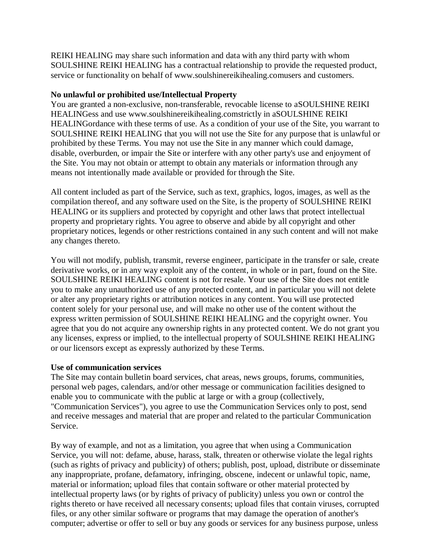REIKI HEALING may share such information and data with any third party with whom SOULSHINE REIKI HEALING has a contractual relationship to provide the requested product, service or functionality on behalf of www.soulshinereikihealing.comusers and customers.

#### **No unlawful or prohibited use/Intellectual Property**

You are granted a non-exclusive, non-transferable, revocable license to aSOULSHINE REIKI HEALINGess and use www.soulshinereikihealing.comstrictly in aSOULSHINE REIKI HEALINGordance with these terms of use. As a condition of your use of the Site, you warrant to SOULSHINE REIKI HEALING that you will not use the Site for any purpose that is unlawful or prohibited by these Terms. You may not use the Site in any manner which could damage, disable, overburden, or impair the Site or interfere with any other party's use and enjoyment of the Site. You may not obtain or attempt to obtain any materials or information through any means not intentionally made available or provided for through the Site.

All content included as part of the Service, such as text, graphics, logos, images, as well as the compilation thereof, and any software used on the Site, is the property of SOULSHINE REIKI HEALING or its suppliers and protected by copyright and other laws that protect intellectual property and proprietary rights. You agree to observe and abide by all copyright and other proprietary notices, legends or other restrictions contained in any such content and will not make any changes thereto.

You will not modify, publish, transmit, reverse engineer, participate in the transfer or sale, create derivative works, or in any way exploit any of the content, in whole or in part, found on the Site. SOULSHINE REIKI HEALING content is not for resale. Your use of the Site does not entitle you to make any unauthorized use of any protected content, and in particular you will not delete or alter any proprietary rights or attribution notices in any content. You will use protected content solely for your personal use, and will make no other use of the content without the express written permission of SOULSHINE REIKI HEALING and the copyright owner. You agree that you do not acquire any ownership rights in any protected content. We do not grant you any licenses, express or implied, to the intellectual property of SOULSHINE REIKI HEALING or our licensors except as expressly authorized by these Terms.

#### **Use of communication services**

The Site may contain bulletin board services, chat areas, news groups, forums, communities, personal web pages, calendars, and/or other message or communication facilities designed to enable you to communicate with the public at large or with a group (collectively, "Communication Services"), you agree to use the Communication Services only to post, send and receive messages and material that are proper and related to the particular Communication Service.

By way of example, and not as a limitation, you agree that when using a Communication Service, you will not: defame, abuse, harass, stalk, threaten or otherwise violate the legal rights (such as rights of privacy and publicity) of others; publish, post, upload, distribute or disseminate any inappropriate, profane, defamatory, infringing, obscene, indecent or unlawful topic, name, material or information; upload files that contain software or other material protected by intellectual property laws (or by rights of privacy of publicity) unless you own or control the rights thereto or have received all necessary consents; upload files that contain viruses, corrupted files, or any other similar software or programs that may damage the operation of another's computer; advertise or offer to sell or buy any goods or services for any business purpose, unless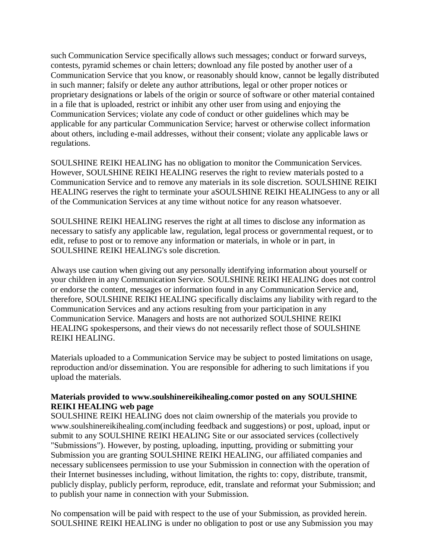such Communication Service specifically allows such messages; conduct or forward surveys, contests, pyramid schemes or chain letters; download any file posted by another user of a Communication Service that you know, or reasonably should know, cannot be legally distributed in such manner; falsify or delete any author attributions, legal or other proper notices or proprietary designations or labels of the origin or source of software or other material contained in a file that is uploaded, restrict or inhibit any other user from using and enjoying the Communication Services; violate any code of conduct or other guidelines which may be applicable for any particular Communication Service; harvest or otherwise collect information about others, including e-mail addresses, without their consent; violate any applicable laws or regulations.

SOULSHINE REIKI HEALING has no obligation to monitor the Communication Services. However, SOULSHINE REIKI HEALING reserves the right to review materials posted to a Communication Service and to remove any materials in its sole discretion. SOULSHINE REIKI HEALING reserves the right to terminate your aSOULSHINE REIKI HEALINGess to any or all of the Communication Services at any time without notice for any reason whatsoever.

SOULSHINE REIKI HEALING reserves the right at all times to disclose any information as necessary to satisfy any applicable law, regulation, legal process or governmental request, or to edit, refuse to post or to remove any information or materials, in whole or in part, in SOULSHINE REIKI HEALING's sole discretion.

Always use caution when giving out any personally identifying information about yourself or your children in any Communication Service. SOULSHINE REIKI HEALING does not control or endorse the content, messages or information found in any Communication Service and, therefore, SOULSHINE REIKI HEALING specifically disclaims any liability with regard to the Communication Services and any actions resulting from your participation in any Communication Service. Managers and hosts are not authorized SOULSHINE REIKI HEALING spokespersons, and their views do not necessarily reflect those of SOULSHINE REIKI HEALING.

Materials uploaded to a Communication Service may be subject to posted limitations on usage, reproduction and/or dissemination. You are responsible for adhering to such limitations if you upload the materials.

## **Materials provided to www.soulshinereikihealing.comor posted on any SOULSHINE REIKI HEALING web page**

SOULSHINE REIKI HEALING does not claim ownership of the materials you provide to www.soulshinereikihealing.com(including feedback and suggestions) or post, upload, input or submit to any SOULSHINE REIKI HEALING Site or our associated services (collectively "Submissions"). However, by posting, uploading, inputting, providing or submitting your Submission you are granting SOULSHINE REIKI HEALING, our affiliated companies and necessary sublicensees permission to use your Submission in connection with the operation of their Internet businesses including, without limitation, the rights to: copy, distribute, transmit, publicly display, publicly perform, reproduce, edit, translate and reformat your Submission; and to publish your name in connection with your Submission.

No compensation will be paid with respect to the use of your Submission, as provided herein. SOULSHINE REIKI HEALING is under no obligation to post or use any Submission you may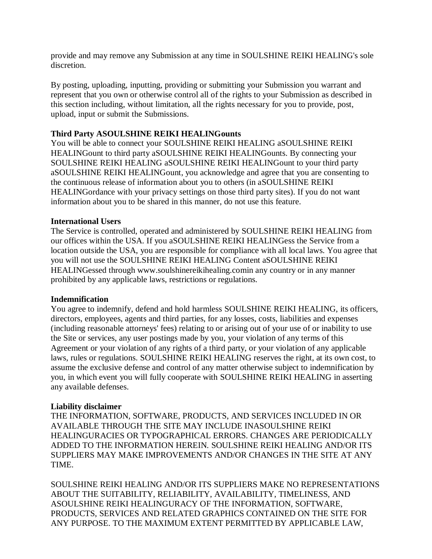provide and may remove any Submission at any time in SOULSHINE REIKI HEALING's sole discretion.

By posting, uploading, inputting, providing or submitting your Submission you warrant and represent that you own or otherwise control all of the rights to your Submission as described in this section including, without limitation, all the rights necessary for you to provide, post, upload, input or submit the Submissions.

## **Third Party ASOULSHINE REIKI HEALINGounts**

You will be able to connect your SOULSHINE REIKI HEALING aSOULSHINE REIKI HEALINGount to third party aSOULSHINE REIKI HEALINGounts. By connecting your SOULSHINE REIKI HEALING aSOULSHINE REIKI HEALINGount to your third party aSOULSHINE REIKI HEALINGount, you acknowledge and agree that you are consenting to the continuous release of information about you to others (in aSOULSHINE REIKI HEALINGordance with your privacy settings on those third party sites). If you do not want information about you to be shared in this manner, do not use this feature.

## **International Users**

The Service is controlled, operated and administered by SOULSHINE REIKI HEALING from our offices within the USA. If you aSOULSHINE REIKI HEALINGess the Service from a location outside the USA, you are responsible for compliance with all local laws. You agree that you will not use the SOULSHINE REIKI HEALING Content aSOULSHINE REIKI HEALINGessed through www.soulshinereikihealing.comin any country or in any manner prohibited by any applicable laws, restrictions or regulations.

#### **Indemnification**

You agree to indemnify, defend and hold harmless SOULSHINE REIKI HEALING, its officers, directors, employees, agents and third parties, for any losses, costs, liabilities and expenses (including reasonable attorneys' fees) relating to or arising out of your use of or inability to use the Site or services, any user postings made by you, your violation of any terms of this Agreement or your violation of any rights of a third party, or your violation of any applicable laws, rules or regulations. SOULSHINE REIKI HEALING reserves the right, at its own cost, to assume the exclusive defense and control of any matter otherwise subject to indemnification by you, in which event you will fully cooperate with SOULSHINE REIKI HEALING in asserting any available defenses.

#### **Liability disclaimer**

THE INFORMATION, SOFTWARE, PRODUCTS, AND SERVICES INCLUDED IN OR AVAILABLE THROUGH THE SITE MAY INCLUDE INASOULSHINE REIKI HEALINGURACIES OR TYPOGRAPHICAL ERRORS. CHANGES ARE PERIODICALLY ADDED TO THE INFORMATION HEREIN. SOULSHINE REIKI HEALING AND/OR ITS SUPPLIERS MAY MAKE IMPROVEMENTS AND/OR CHANGES IN THE SITE AT ANY TIME.

SOULSHINE REIKI HEALING AND/OR ITS SUPPLIERS MAKE NO REPRESENTATIONS ABOUT THE SUITABILITY, RELIABILITY, AVAILABILITY, TIMELINESS, AND ASOULSHINE REIKI HEALINGURACY OF THE INFORMATION, SOFTWARE, PRODUCTS, SERVICES AND RELATED GRAPHICS CONTAINED ON THE SITE FOR ANY PURPOSE. TO THE MAXIMUM EXTENT PERMITTED BY APPLICABLE LAW,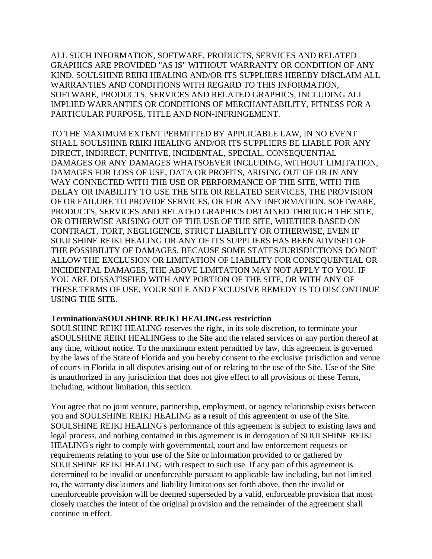ALL SUCH INFORMATION, SOFTWARE, PRODUCTS, SERVICES AND RELATED GRAPHICS ARE PROVIDED "AS IS" WITHOUT WARRANTY OR CONDITION OF ANY KIND. SOULSHINE REIKI HEALING AND/OR ITS SUPPLIERS HEREBY DISCLAIM ALL WARRANTIES AND CONDITIONS WITH REGARD TO THIS INFORMATION, SOFTWARE, PRODUCTS, SERVICES AND RELATED GRAPHICS, INCLUDING ALL IMPLIED WARRANTIES OR CONDITIONS OF MERCHANTABILITY, FITNESS FOR A PARTICULAR PURPOSE, TITLE AND NON-INFRINGEMENT.

TO THE MAXIMUM EXTENT PERMITTED BY APPLICABLE LAW, IN NO EVENT SHALL SOULSHINE REIKI HEALING AND/OR ITS SUPPLIERS BE LIABLE FOR ANY DIRECT, INDIRECT, PUNITIVE, INCIDENTAL, SPECIAL, CONSEQUENTIAL DAMAGES OR ANY DAMAGES WHATSOEVER INCLUDING, WITHOUT LIMITATION, DAMAGES FOR LOSS OF USE, DATA OR PROFITS, ARISING OUT OF OR IN ANY WAY CONNECTED WITH THE USE OR PERFORMANCE OF THE SITE, WITH THE DELAY OR INABILITY TO USE THE SITE OR RELATED SERVICES, THE PROVISION OF OR FAILURE TO PROVIDE SERVICES, OR FOR ANY INFORMATION, SOFTWARE, PRODUCTS, SERVICES AND RELATED GRAPHICS OBTAINED THROUGH THE SITE, OR OTHERWISE ARISING OUT OF THE USE OF THE SITE, WHETHER BASED ON CONTRACT, TORT, NEGLIGENCE, STRICT LIABILITY OR OTHERWISE, EVEN IF SOULSHINE REIKI HEALING OR ANY OF ITS SUPPLIERS HAS BEEN ADVISED OF THE POSSIBILITY OF DAMAGES. BECAUSE SOME STATES/JURISDICTIONS DO NOT ALLOW THE EXCLUSION OR LIMITATION OF LIABILITY FOR CONSEQUENTIAL OR INCIDENTAL DAMAGES, THE ABOVE LIMITATION MAY NOT APPLY TO YOU. IF YOU ARE DISSATISFIED WITH ANY PORTION OF THE SITE, OR WITH ANY OF THESE TERMS OF USE, YOUR SOLE AND EXCLUSIVE REMEDY IS TO DISCONTINUE USING THE SITE.

#### **Termination/aSOULSHINE REIKI HEALINGess restriction**

SOULSHINE REIKI HEALING reserves the right, in its sole discretion, to terminate your aSOULSHINE REIKI HEALINGess to the Site and the related services or any portion thereof at any time, without notice. To the maximum extent permitted by law, this agreement is governed by the laws of the State of Florida and you hereby consent to the exclusive jurisdiction and venue of courts in Florida in all disputes arising out of or relating to the use of the Site. Use of the Site is unauthorized in any jurisdiction that does not give effect to all provisions of these Terms, including, without limitation, this section.

You agree that no joint venture, partnership, employment, or agency relationship exists between you and SOULSHINE REIKI HEALING as a result of this agreement or use of the Site. SOULSHINE REIKI HEALING's performance of this agreement is subject to existing laws and legal process, and nothing contained in this agreement is in derogation of SOULSHINE REIKI HEALING's right to comply with governmental, court and law enforcement requests or requirements relating to your use of the Site or information provided to or gathered by SOULSHINE REIKI HEALING with respect to such use. If any part of this agreement is determined to be invalid or unenforceable pursuant to applicable law including, but not limited to, the warranty disclaimers and liability limitations set forth above, then the invalid or unenforceable provision will be deemed superseded by a valid, enforceable provision that most closely matches the intent of the original provision and the remainder of the agreement shall continue in effect.